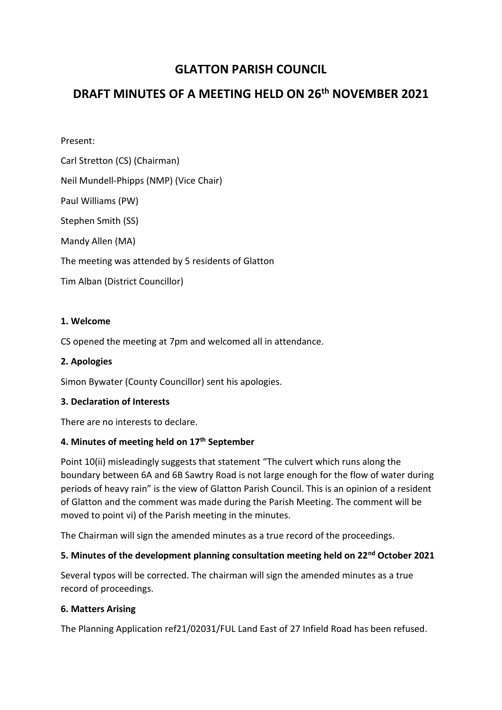# **GLATTON PARISH COUNCIL**

# **DRAFT MINUTES OF A MEETING HELD ON 26th NOVEMBER 2021**

Present:

Carl Stretton (CS) (Chairman)

Neil Mundell-Phipps (NMP) (Vice Chair)

Paul Williams (PW)

Stephen Smith (SS)

Mandy Allen (MA)

The meeting was attended by 5 residents of Glatton

Tim Alban (District Councillor)

## **1. Welcome**

CS opened the meeting at 7pm and welcomed all in attendance.

## **2. Apologies**

Simon Bywater (County Councillor) sent his apologies.

## **3. Declaration of Interests**

There are no interests to declare.

## **4. Minutes of meeting held on 17th September**

Point 10(ii) misleadingly suggests that statement "The culvert which runs along the boundary between 6A and 6B Sawtry Road is not large enough for the flow of water during periods of heavy rain" is the view of Glatton Parish Council. This is an opinion of a resident of Glatton and the comment was made during the Parish Meeting. The comment will be moved to point vi) of the Parish meeting in the minutes.

The Chairman will sign the amended minutes as a true record of the proceedings.

## **5. Minutes of the development planning consultation meeting held on 22nd October 2021**

Several typos will be corrected. The chairman will sign the amended minutes as a true record of proceedings.

## **6. Matters Arising**

The Planning Application ref21/02031/FUL Land East of 27 Infield Road has been refused.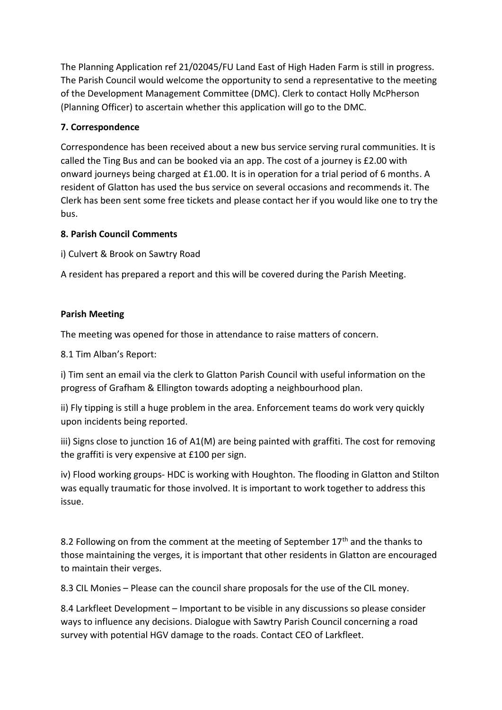The Planning Application ref 21/02045/FU Land East of High Haden Farm is still in progress. The Parish Council would welcome the opportunity to send a representative to the meeting of the Development Management Committee (DMC). Clerk to contact Holly McPherson (Planning Officer) to ascertain whether this application will go to the DMC.

## **7. Correspondence**

Correspondence has been received about a new bus service serving rural communities. It is called the Ting Bus and can be booked via an app. The cost of a journey is £2.00 with onward journeys being charged at £1.00. It is in operation for a trial period of 6 months. A resident of Glatton has used the bus service on several occasions and recommends it. The Clerk has been sent some free tickets and please contact her if you would like one to try the bus.

## **8. Parish Council Comments**

i) Culvert & Brook on Sawtry Road

A resident has prepared a report and this will be covered during the Parish Meeting.

## **Parish Meeting**

The meeting was opened for those in attendance to raise matters of concern.

8.1 Tim Alban's Report:

i) Tim sent an email via the clerk to Glatton Parish Council with useful information on the progress of Grafham & Ellington towards adopting a neighbourhood plan.

ii) Fly tipping is still a huge problem in the area. Enforcement teams do work very quickly upon incidents being reported.

iii) Signs close to junction 16 of A1(M) are being painted with graffiti. The cost for removing the graffiti is very expensive at £100 per sign.

iv) Flood working groups- HDC is working with Houghton. The flooding in Glatton and Stilton was equally traumatic for those involved. It is important to work together to address this issue.

8.2 Following on from the comment at the meeting of September  $17<sup>th</sup>$  and the thanks to those maintaining the verges, it is important that other residents in Glatton are encouraged to maintain their verges.

8.3 CIL Monies – Please can the council share proposals for the use of the CIL money.

8.4 Larkfleet Development – Important to be visible in any discussions so please consider ways to influence any decisions. Dialogue with Sawtry Parish Council concerning a road survey with potential HGV damage to the roads. Contact CEO of Larkfleet.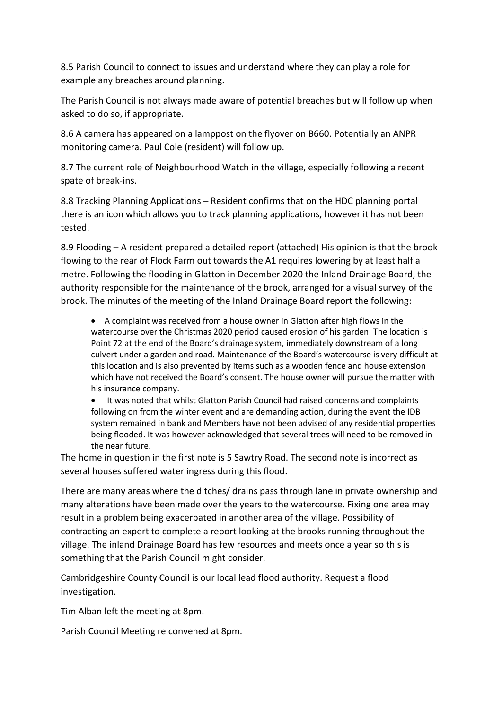8.5 Parish Council to connect to issues and understand where they can play a role for example any breaches around planning.

The Parish Council is not always made aware of potential breaches but will follow up when asked to do so, if appropriate.

8.6 A camera has appeared on a lamppost on the flyover on B660. Potentially an ANPR monitoring camera. Paul Cole (resident) will follow up.

8.7 The current role of Neighbourhood Watch in the village, especially following a recent spate of break-ins.

8.8 Tracking Planning Applications – Resident confirms that on the HDC planning portal there is an icon which allows you to track planning applications, however it has not been tested.

8.9 Flooding – A resident prepared a detailed report (attached) His opinion is that the brook flowing to the rear of Flock Farm out towards the A1 requires lowering by at least half a metre. Following the flooding in Glatton in December 2020 the Inland Drainage Board, the authority responsible for the maintenance of the brook, arranged for a visual survey of the brook. The minutes of the meeting of the Inland Drainage Board report the following:

• A complaint was received from a house owner in Glatton after high flows in the watercourse over the Christmas 2020 period caused erosion of his garden. The location is Point 72 at the end of the Board's drainage system, immediately downstream of a long culvert under a garden and road. Maintenance of the Board's watercourse is very difficult at this location and is also prevented by items such as a wooden fence and house extension which have not received the Board's consent. The house owner will pursue the matter with his insurance company.

• It was noted that whilst Glatton Parish Council had raised concerns and complaints following on from the winter event and are demanding action, during the event the IDB system remained in bank and Members have not been advised of any residential properties being flooded. It was however acknowledged that several trees will need to be removed in the near future.

The home in question in the first note is 5 Sawtry Road. The second note is incorrect as several houses suffered water ingress during this flood.

There are many areas where the ditches/ drains pass through lane in private ownership and many alterations have been made over the years to the watercourse. Fixing one area may result in a problem being exacerbated in another area of the village. Possibility of contracting an expert to complete a report looking at the brooks running throughout the village. The inland Drainage Board has few resources and meets once a year so this is something that the Parish Council might consider.

Cambridgeshire County Council is our local lead flood authority. Request a flood investigation.

Tim Alban left the meeting at 8pm.

Parish Council Meeting re convened at 8pm.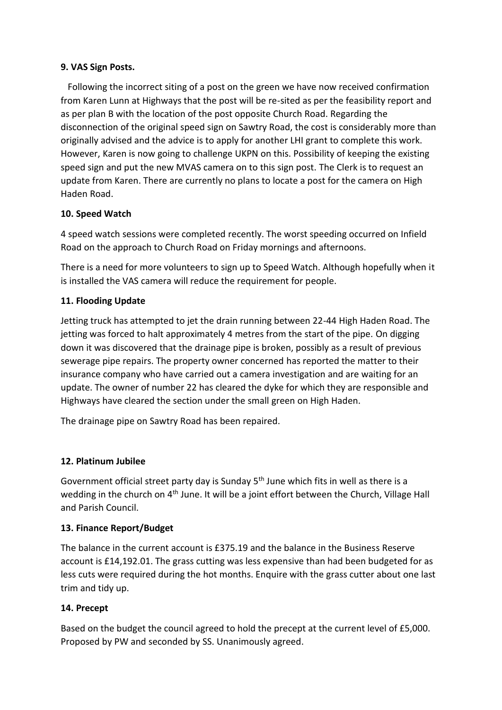## **9. VAS Sign Posts.**

 Following the incorrect siting of a post on the green we have now received confirmation from Karen Lunn at Highways that the post will be re-sited as per the feasibility report and as per plan B with the location of the post opposite Church Road. Regarding the disconnection of the original speed sign on Sawtry Road, the cost is considerably more than originally advised and the advice is to apply for another LHI grant to complete this work. However, Karen is now going to challenge UKPN on this. Possibility of keeping the existing speed sign and put the new MVAS camera on to this sign post. The Clerk is to request an update from Karen. There are currently no plans to locate a post for the camera on High Haden Road.

## **10. Speed Watch**

4 speed watch sessions were completed recently. The worst speeding occurred on Infield Road on the approach to Church Road on Friday mornings and afternoons.

There is a need for more volunteers to sign up to Speed Watch. Although hopefully when it is installed the VAS camera will reduce the requirement for people.

## **11. Flooding Update**

Jetting truck has attempted to jet the drain running between 22-44 High Haden Road. The jetting was forced to halt approximately 4 metres from the start of the pipe. On digging down it was discovered that the drainage pipe is broken, possibly as a result of previous sewerage pipe repairs. The property owner concerned has reported the matter to their insurance company who have carried out a camera investigation and are waiting for an update. The owner of number 22 has cleared the dyke for which they are responsible and Highways have cleared the section under the small green on High Haden.

The drainage pipe on Sawtry Road has been repaired.

## **12. Platinum Jubilee**

Government official street party day is Sunday 5<sup>th</sup> June which fits in well as there is a wedding in the church on 4<sup>th</sup> June. It will be a joint effort between the Church, Village Hall and Parish Council.

## **13. Finance Report/Budget**

The balance in the current account is £375.19 and the balance in the Business Reserve account is £14,192.01. The grass cutting was less expensive than had been budgeted for as less cuts were required during the hot months. Enquire with the grass cutter about one last trim and tidy up.

## **14. Precept**

Based on the budget the council agreed to hold the precept at the current level of £5,000. Proposed by PW and seconded by SS. Unanimously agreed.